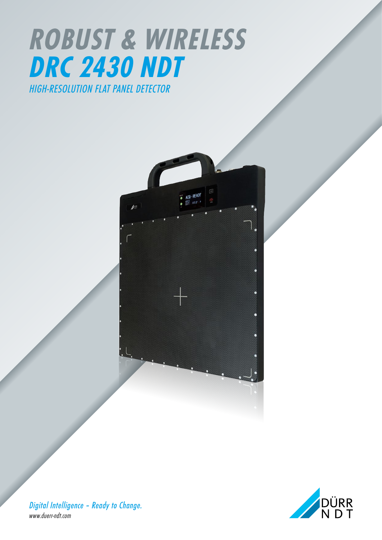# *ROBUST & WIRELESS DRC 2430 NDT HIGH-RESOLUTION FLAT PANEL DETECTOR*





*Digital Intelligence – Ready to Change. www.duerr-ndt.com*